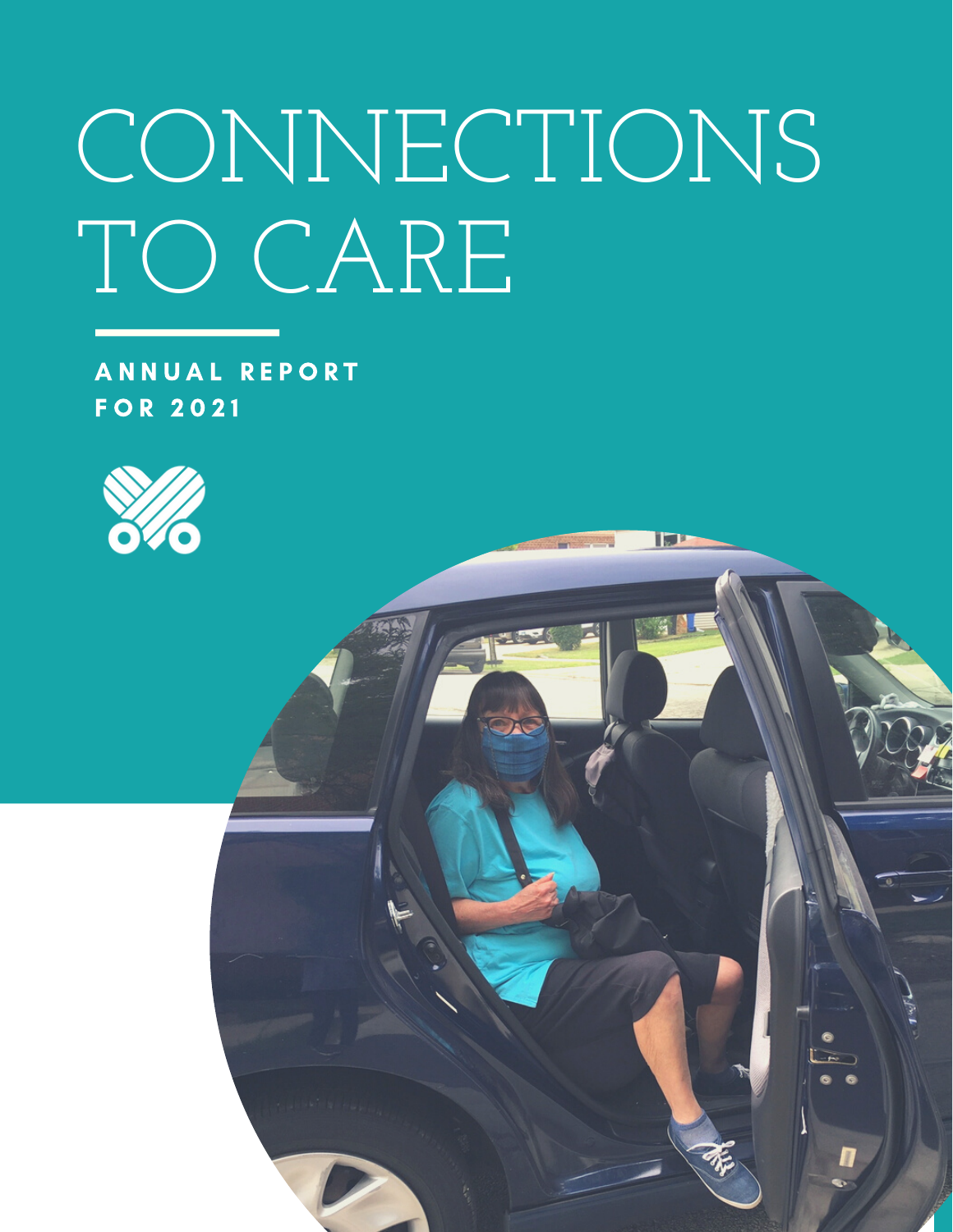# CONNECTIONS TO CARE

A N N U A L R E P O R T F O R 2 0 2 1

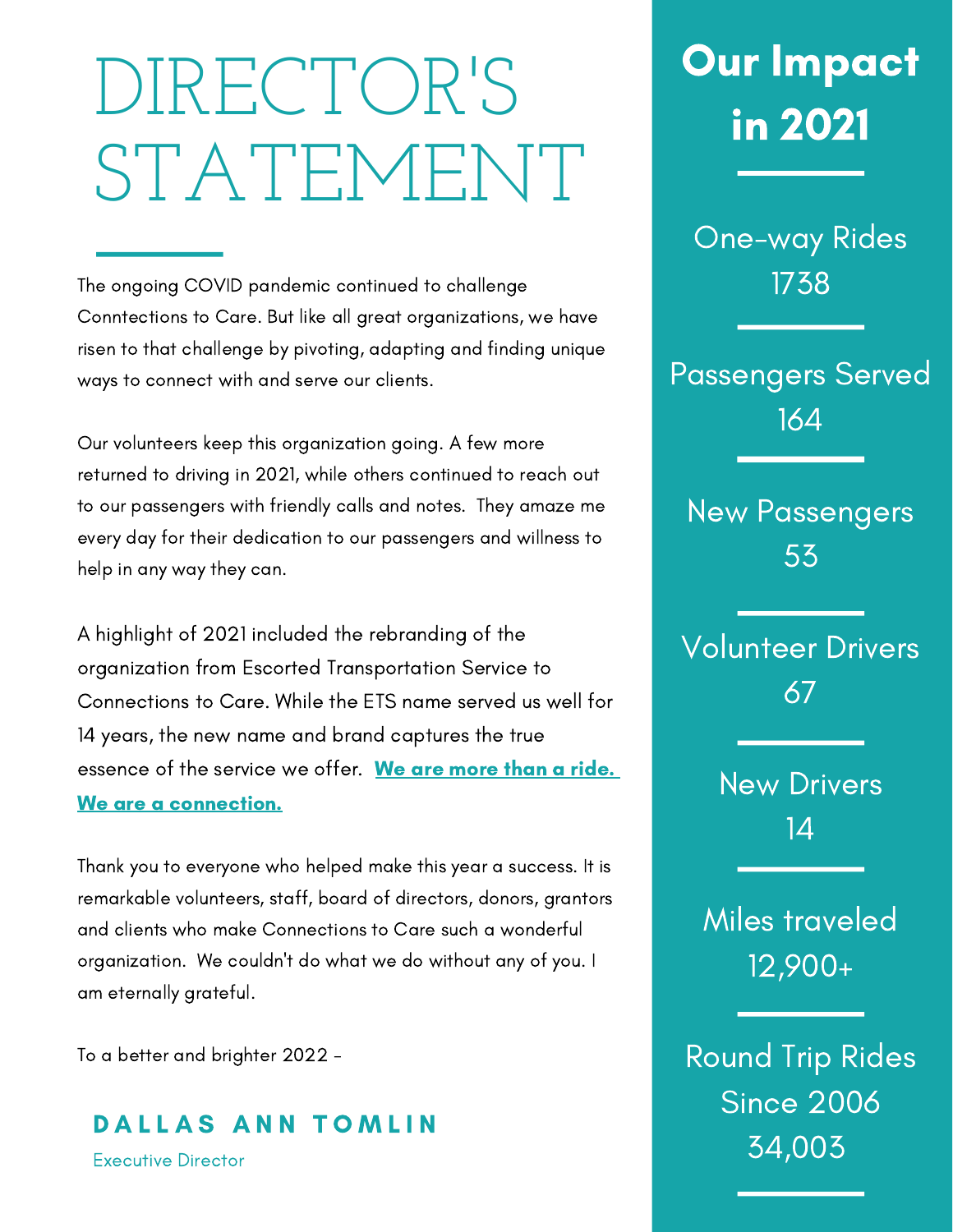## DIRECTOR'S STATEMENT

The ongoing COVID pandemic continued to challenge Conntections to Care. But like all great organizations, we have risen to that challenge by pivoting, adapting and finding unique ways to connect with and serve our clients.

Our volunteers keep this organization going. A few more returned to driving in 2021, while others continued to reach out to our passengers with friendly calls and notes. They amaze me every day for their dedication to our passengers and willness to help in any way they can.

A highlight of 2021 included the rebranding of the organization from Escorted Transportation Service to Connections to Care. While the ETS name served us well for 14 years, the new name and brand captures the true essence of the service we offer. We are more than a ride. We are a connection.

Thank you to everyone who helped make this year a success. It is remarkable volunteers, staff, board of directors, donors, grantors and clients who make Connections to Care such a wonderful organization. We couldn't do what we do without any of you. I am eternally grateful.

To a better and brighter 2022 -

DALLAS ANN TOMLIN

Executive Director

### Our Impact in 2021

One-way Rides 1738

Passengers Served 164

New Passengers 53

Volunteer Drivers 67

> New Drivers 14

Miles traveled 12,900+

Round Trip Rides Since 2006 34,003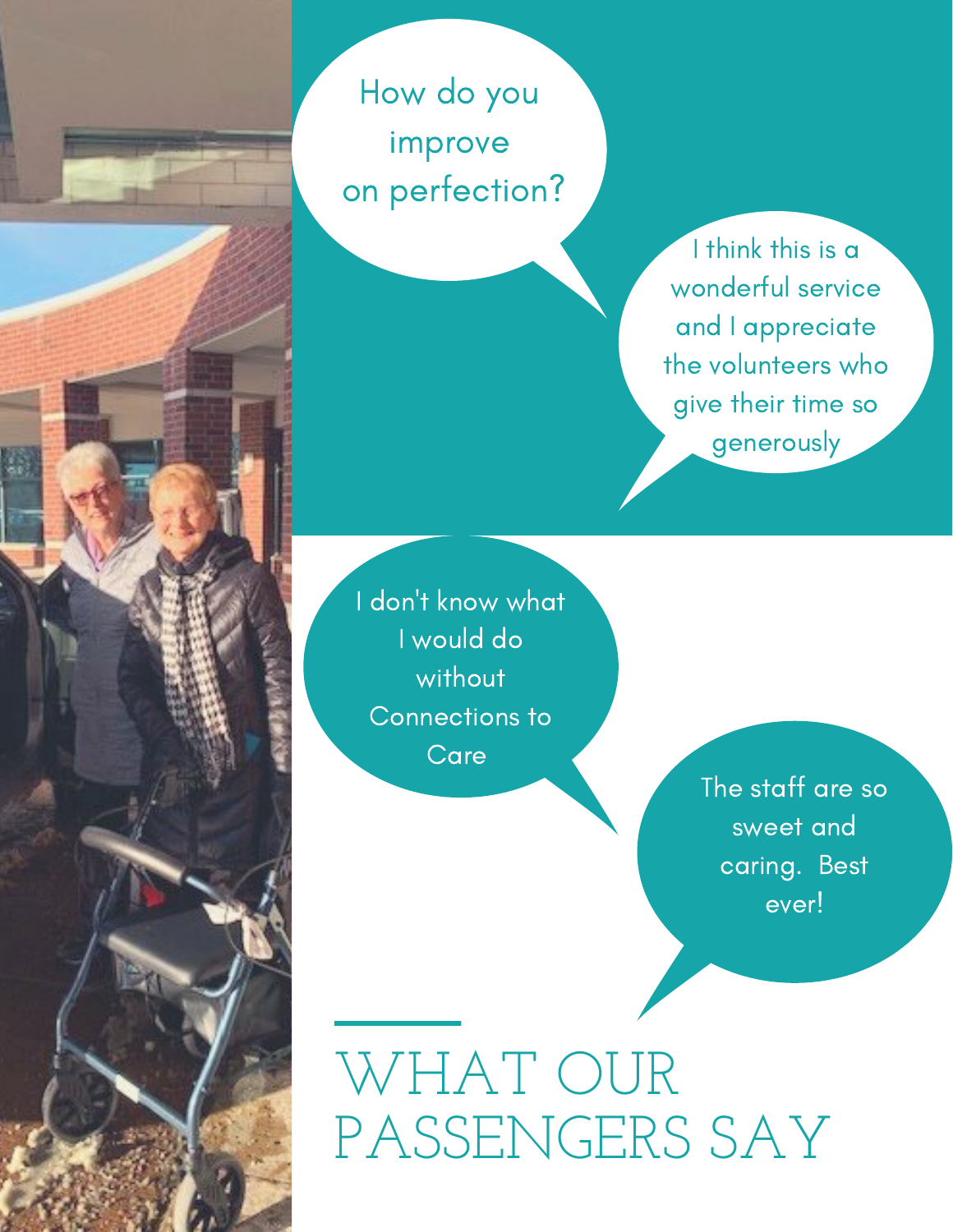How do you improve on perfection?

> I think this is a wonderful service and I appreciate the volunteers who give their time so generously

I don 't know what I would do without Connections to Care

> The staff are so sweet and caring. Best ever!

WHAT OUR PASSENGERS SAY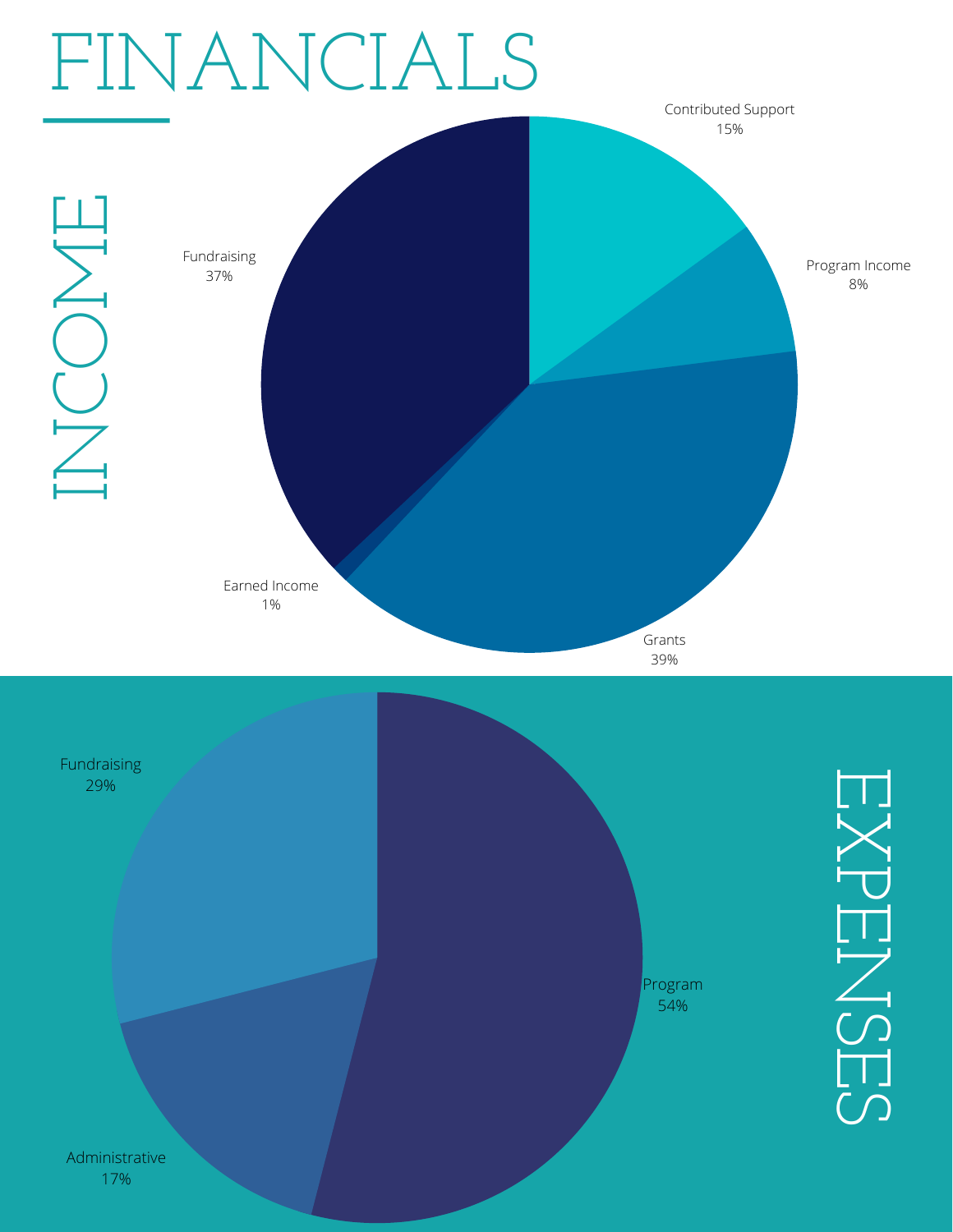

17%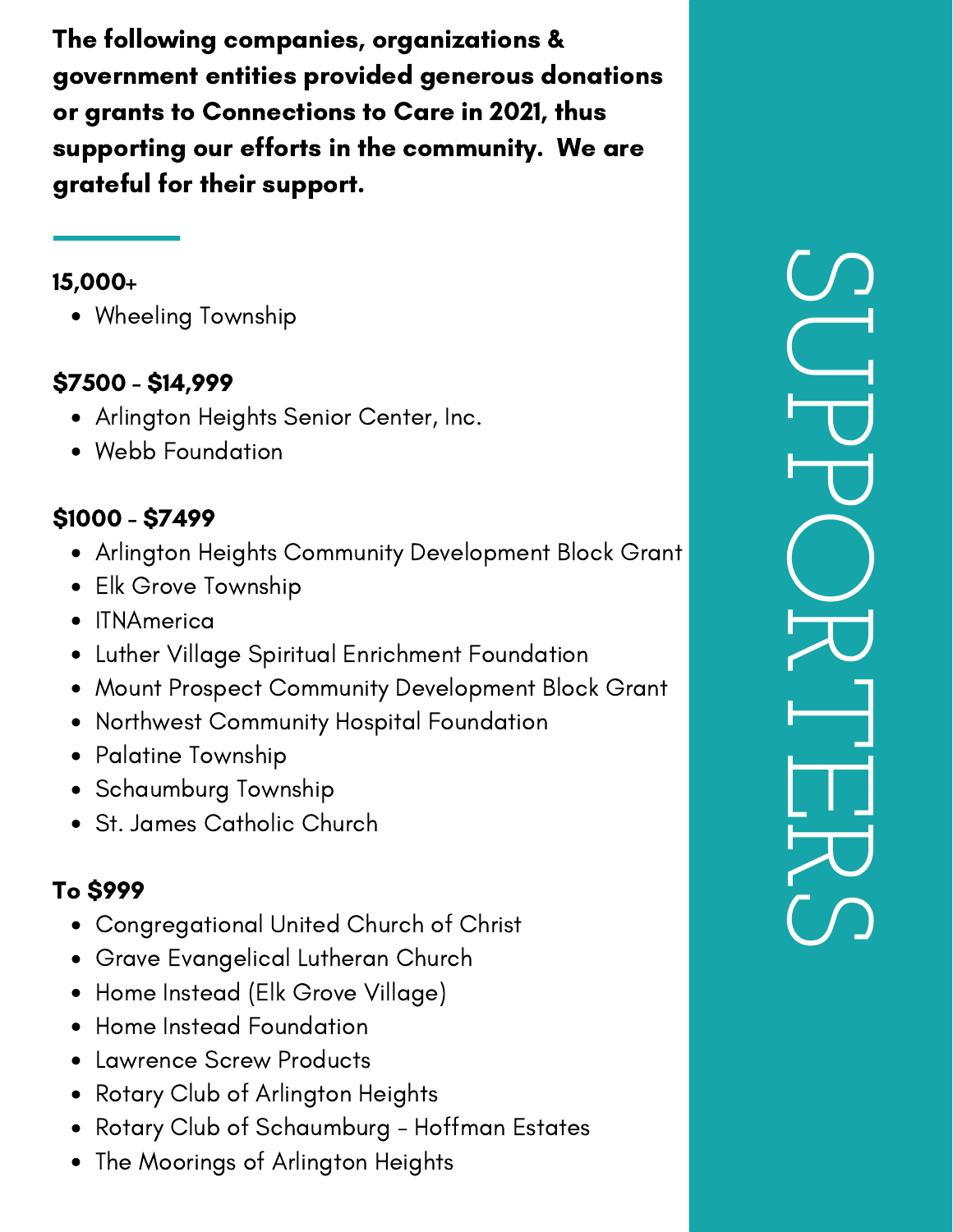The following companies, organizations & government entities provided generous donations or grants to Connections to Care in 2021, thus supporting our efforts in the community. We are grateful for their support.

#### 15,000+

• Wheeling Township

#### \$7500 - \$14,999

- Arlington Heights Senior Center, Inc.
- Webb Foundation

#### \$1000 - \$7499

- Arlington Heights Community Development Block Grant
- Elk Grove Township
- ITNAmerica
- Luther Village Spiritual Enrichment Foundation
- Mount Prospect Community Development Block Grant
- Northwest Community Hospital Foundation
- Palatine Township
- Schaumburg Township
- St. James Catholic Church

#### To \$999

- Congregational United Church of Christ
- Grave Evangelical Lutheran Church
- Home Instead (Elk Grove Village)
- Home Instead Foundation
- Lawrence Screw Products
- Rotary Club of Arlington Heights
- Rotary Club of Schaumburg Hoffman Estates
- The Moorings of Arlington Heights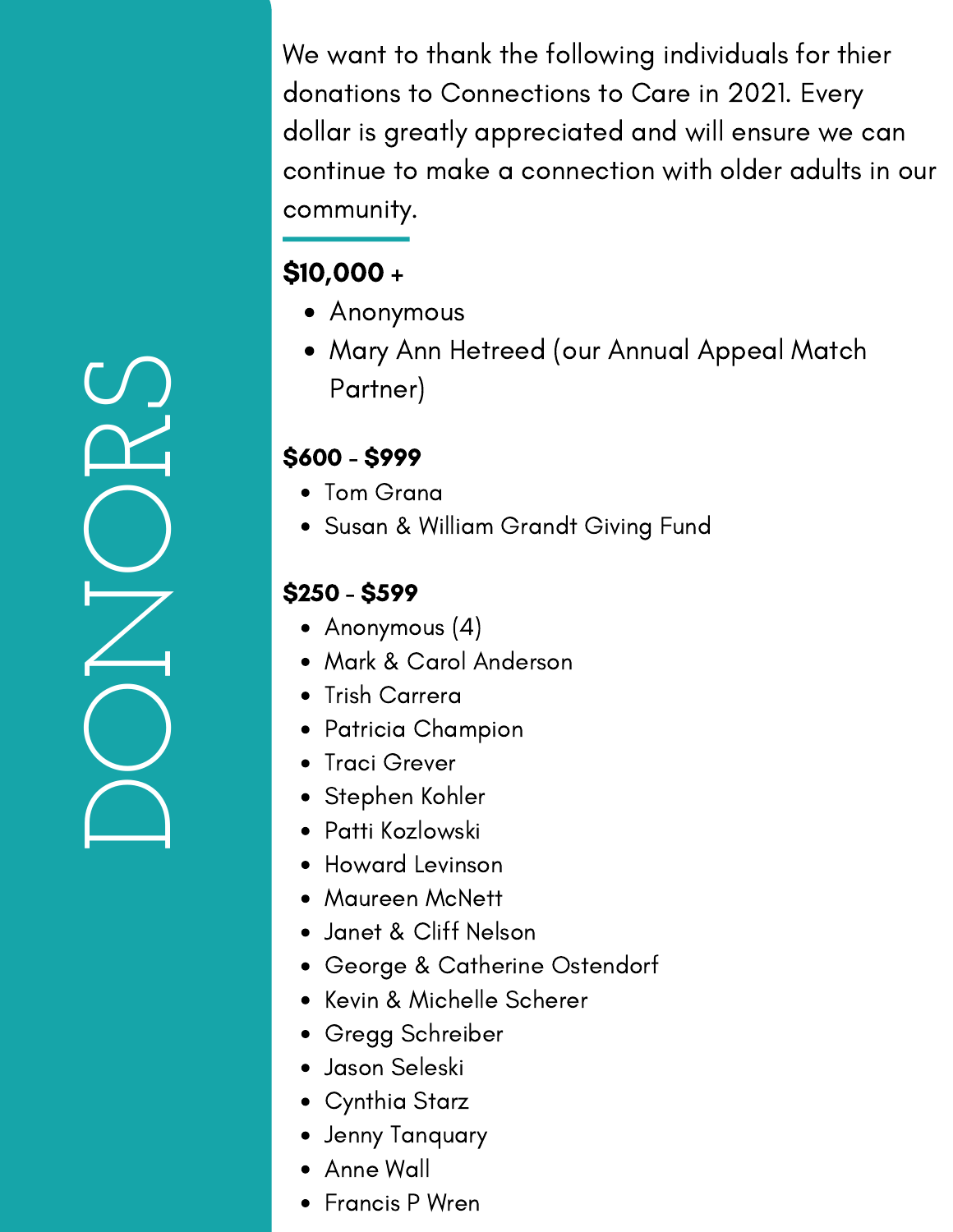We want to thank the following individuals for thier donations to Connections to Care in 2021. Every dollar is greatly appreciated and will ensure we can continue to make a connection with older adults in our community.

#### \$10,000 +

- Anonymous
- Mary Ann Hetreed (our Annual Appeal Match Partner)

#### \$600 - \$999

- Tom Grana
- Susan & William Grandt Giving Fund

#### \$250 - \$599

- Anonymous (4)
- Mark & Carol Anderson
- Trish Carrera
- Patricia Champion
- Traci Grever
- Stephen Kohler
- Patti Kozlowski
- Howard Levinson
- Maureen McNett
- Janet & Cliff Nelson
- George & Catherine Ostendorf
- Kevin & Michelle Scherer
- Gregg Schreiber
- Jason Seleski
- Cynthia Starz
- Jenny Tanquary
- Anne Wall
- Francis P Wren

 $\bigcap$  $\bigcirc$  $\overline{\angle}$  $\bigcirc$  $\mathbf{\Omega}$  $\bigcirc$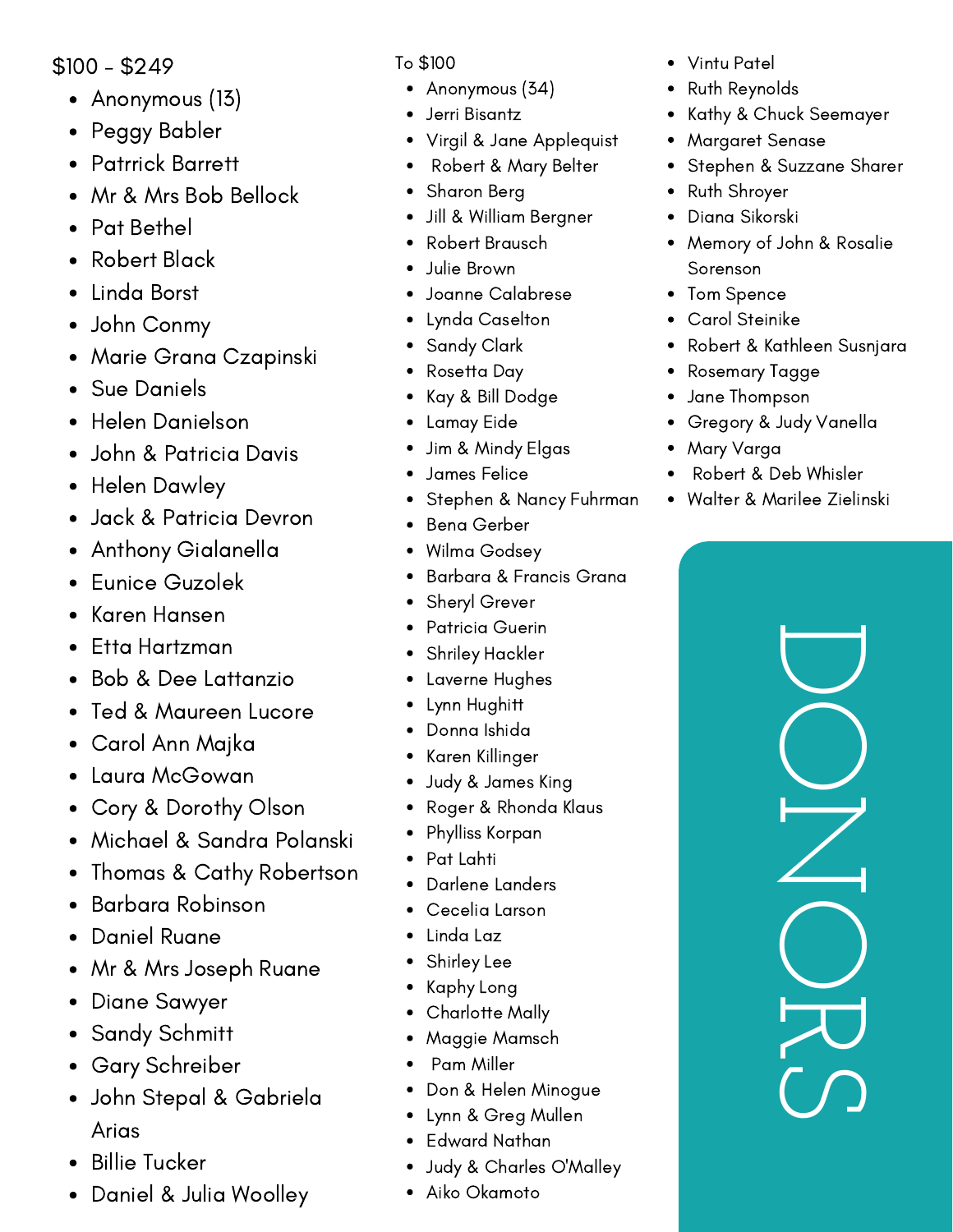\$100 - \$249

- Anonymous (13)
- Peggy Babler
- Patrrick Barrett
- Mr & Mrs Bob Bellock
- Pat Bethel  $\bullet$
- Robert Black  $\bullet$
- Linda Borst
- John Conmy
- Marie Grana Czapinski
- Sue Daniels
- Helen Danielson  $\bullet$
- John & Patricia Davis  $\bullet$
- Helen Dawley  $\bullet$
- Jack & Patricia Devron  $\bullet$
- Anthony Gialanella  $\bullet$
- Eunice Guzolek  $\bullet$
- Karen Hansen  $\bullet$
- Etta Hartzman
- Bob & Dee Lattanzio
- Ted & Maureen Lucore
- Carol Ann Majka
- Laura McGowan
- Cory & Dorothy Olson
- Michael & Sandra Polanski
- Thomas & Cathy Robertson
- Barbara Robinson
- Daniel Ruane  $\bullet$
- Mr & Mrs Joseph Ruane  $\bullet$
- Diane Sawyer  $\bullet$
- Sandy Schmitt
- Gary Schreiber
- John Stepal & Gabriela Arias
- Billie Tucker
- Daniel & Julia Woolley

- Anonymous (34)
- Jerri Bisantz
- Virgil & Jane Applequist
- Robert & Mary Belter
- Sharon Berg
- Jill & William Bergner
- Robert Brausch
- Julie Brown
- Joanne Calabrese
- Lynda Caselton
- Sandy Clark
- Rosetta Day
- Kay & Bill Dodge
- Lamay Eide
- Jim & Mindy Elgas
- James Felice
- Stephen & Nancy Fuhrman
- Bena Gerber
- Wilma Godsey
- Barbara & Francis Grana
- Sheryl Grever
- Patricia Guerin
- Shriley Hackler
- Laverne Hughes
- Lynn Hughitt
- Donna Ishida
- Karen Killinger
- Judy & James King
- Roger & Rhonda Klaus
- Phylliss Korpan
- Pat Lahti
- Darlene Landers
- Cecelia Larson
- Linda Laz
- Shirley Lee
- Kaphy Long
- Charlotte Mally
- Maggie Mamsch
- Pam Miller
- Don & Helen Minogue
- Lynn & Greg Mullen
- Edward Nathan
- Judy & Charles O'Malley
- Aiko Okamoto
- To \$100 Vintu Patel
	- Ruth Reynolds
	- Kathy & Chuck Seemayer
	- Margaret Senase
	- Stephen & Suzzane Sharer
	- Ruth Shroyer  $\bullet$
	- Diana Sikorski  $\bullet$
	- Memory of John & Rosalie  $\bullet$ Sorenson
	- Tom Spence
	- Carol Steinike
	- Robert & Kathleen Susnjara
	- Rosemary Tagge
	- Jane Thompson
	- Gregory & Judy Vanella  $\bullet$
	- Mary Varga
	- Robert & Deb Whisler
	- Walter & Marilee Zielinski

 $\bigcup$  $\bigcirc$  $\overline{\angle}$  $\bigcirc$  $\overline{\mathcal{L}}$  $\bigcirc$